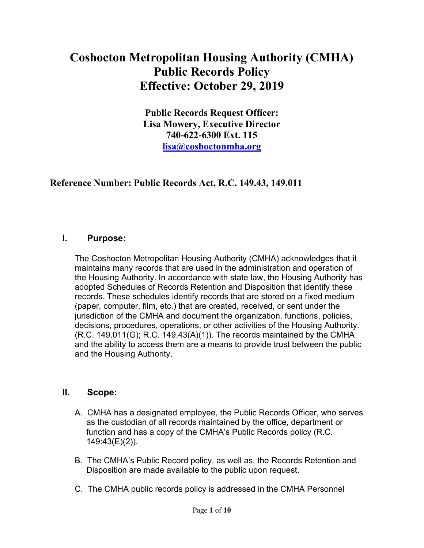## Coshocton Metropolitan Housing Authority (CMHA) Public Records Policy Effective: October 29, 2019

Public Records Request Officer: Lisa Mowery, Executive Director 740-622-6300 Ext. 115 lisa@coshoctonmha.org

#### Reference Number: Public Records Act, R.C. 149.43, 149.011

#### I. Purpose:

The Coshocton Metropolitan Housing Authority (CMHA) acknowledges that it maintains many records that are used in the administration and operation of the Housing Authority. In accordance with state law, the Housing Authority has adopted Schedules of Records Retention and Disposition that identify these records. These schedules identify records that are stored on a fixed medium (paper, computer, film, etc.) that are created, received, or sent under the jurisdiction of the CMHA and document the organization, functions, policies, decisions, procedures, operations, or other activities of the Housing Authority.  $(R.C. 149.011(G); R.C. 149.43(A)(1)).$  The records maintained by the CMHA and the ability to access them are a means to provide trust between the public and the Housing Authority.

#### II. Scope:

- A. CMHA has a designated employee, the Public Records Officer, who serves as the custodian of all records maintained by the office, department or function and has a copy of the CMHA's Public Records policy (R.C. 149:43(E)(2)).
- B. The CMHA's Public Record policy, as well as, the Records Retention and Disposition are made available to the public upon request.
- C. The CMHA public records policy is addressed in the CMHA Personnel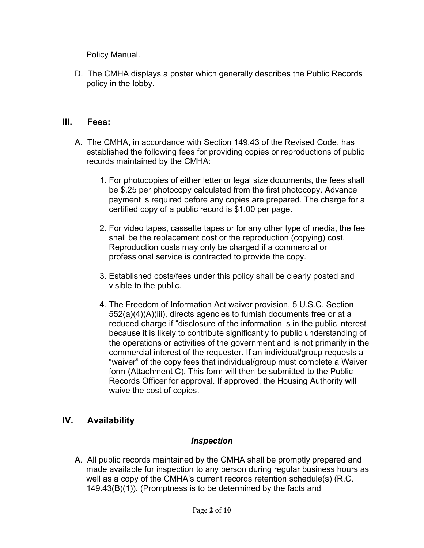Policy Manual.

D. The CMHA displays a poster which generally describes the Public Records policy in the lobby.

#### III. Fees:

- A. The CMHA, in accordance with Section 149.43 of the Revised Code, has established the following fees for providing copies or reproductions of public records maintained by the CMHA:
	- 1. For photocopies of either letter or legal size documents, the fees shall be \$.25 per photocopy calculated from the first photocopy. Advance payment is required before any copies are prepared. The charge for a certified copy of a public record is \$1.00 per page.
	- 2. For video tapes, cassette tapes or for any other type of media, the fee shall be the replacement cost or the reproduction (copying) cost. Reproduction costs may only be charged if a commercial or professional service is contracted to provide the copy.
	- 3. Established costs/fees under this policy shall be clearly posted and visible to the public.
	- 4. The Freedom of Information Act waiver provision, 5 U.S.C. Section 552(a)(4)(A)(iii), directs agencies to furnish documents free or at a reduced charge if "disclosure of the information is in the public interest because it is likely to contribute significantly to public understanding of the operations or activities of the government and is not primarily in the commercial interest of the requester. If an individual/group requests a "waiver" of the copy fees that individual/group must complete a Waiver form (Attachment C). This form will then be submitted to the Public Records Officer for approval. If approved, the Housing Authority will waive the cost of copies.

#### IV. Availability

#### Inspection

A. All public records maintained by the CMHA shall be promptly prepared and made available for inspection to any person during regular business hours as well as a copy of the CMHA's current records retention schedule(s) (R.C. 149.43(B)(1)). (Promptness is to be determined by the facts and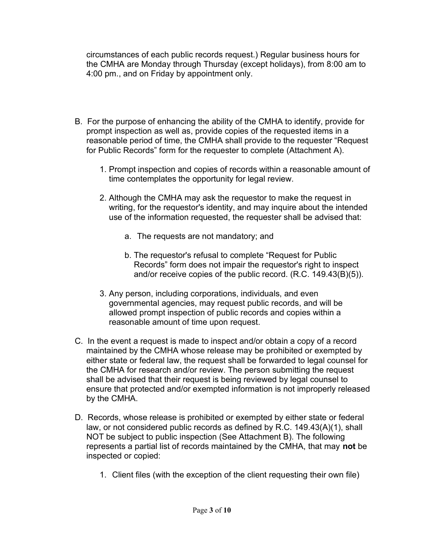circumstances of each public records request.) Regular business hours for the CMHA are Monday through Thursday (except holidays), from 8:00 am to 4:00 pm., and on Friday by appointment only.

- B. For the purpose of enhancing the ability of the CMHA to identify, provide for prompt inspection as well as, provide copies of the requested items in a reasonable period of time, the CMHA shall provide to the requester "Request for Public Records" form for the requester to complete (Attachment A).
	- 1. Prompt inspection and copies of records within a reasonable amount of time contemplates the opportunity for legal review.
	- 2. Although the CMHA may ask the requestor to make the request in writing, for the requestor's identity, and may inquire about the intended use of the information requested, the requester shall be advised that:
		- a. The requests are not mandatory; and
		- b. The requestor's refusal to complete "Request for Public Records" form does not impair the requestor's right to inspect and/or receive copies of the public record. (R.C. 149.43(B)(5)).
	- 3. Any person, including corporations, individuals, and even governmental agencies, may request public records, and will be allowed prompt inspection of public records and copies within a reasonable amount of time upon request.
- C. In the event a request is made to inspect and/or obtain a copy of a record maintained by the CMHA whose release may be prohibited or exempted by either state or federal law, the request shall be forwarded to legal counsel for the CMHA for research and/or review. The person submitting the request shall be advised that their request is being reviewed by legal counsel to ensure that protected and/or exempted information is not improperly released by the CMHA.
- D. Records, whose release is prohibited or exempted by either state or federal law, or not considered public records as defined by R.C. 149.43(A)(1), shall NOT be subject to public inspection (See Attachment B). The following represents a partial list of records maintained by the CMHA, that may not be inspected or copied:
	- 1. Client files (with the exception of the client requesting their own file)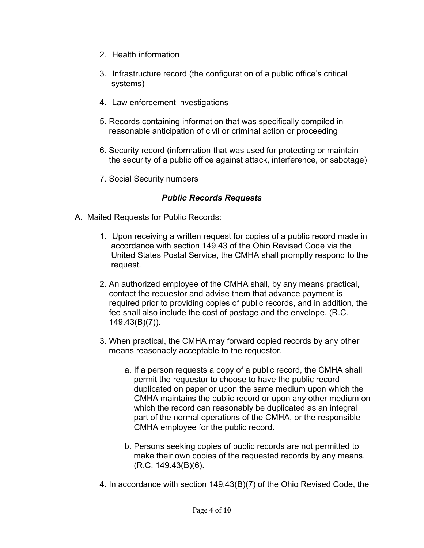- 2. Health information
- 3. Infrastructure record (the configuration of a public office's critical systems)
- 4. Law enforcement investigations
- 5. Records containing information that was specifically compiled in reasonable anticipation of civil or criminal action or proceeding
- 6. Security record (information that was used for protecting or maintain the security of a public office against attack, interference, or sabotage)
- 7. Social Security numbers

#### Public Records Requests

- A. Mailed Requests for Public Records:
	- 1. Upon receiving a written request for copies of a public record made in accordance with section 149.43 of the Ohio Revised Code via the United States Postal Service, the CMHA shall promptly respond to the request.
	- 2. An authorized employee of the CMHA shall, by any means practical, contact the requestor and advise them that advance payment is required prior to providing copies of public records, and in addition, the fee shall also include the cost of postage and the envelope. (R.C. 149.43(B)(7)).
	- 3. When practical, the CMHA may forward copied records by any other means reasonably acceptable to the requestor.
		- a. If a person requests a copy of a public record, the CMHA shall permit the requestor to choose to have the public record duplicated on paper or upon the same medium upon which the CMHA maintains the public record or upon any other medium on which the record can reasonably be duplicated as an integral part of the normal operations of the CMHA, or the responsible CMHA employee for the public record.
		- b. Persons seeking copies of public records are not permitted to make their own copies of the requested records by any means. (R.C. 149.43(B)(6).
	- 4. In accordance with section 149.43(B)(7) of the Ohio Revised Code, the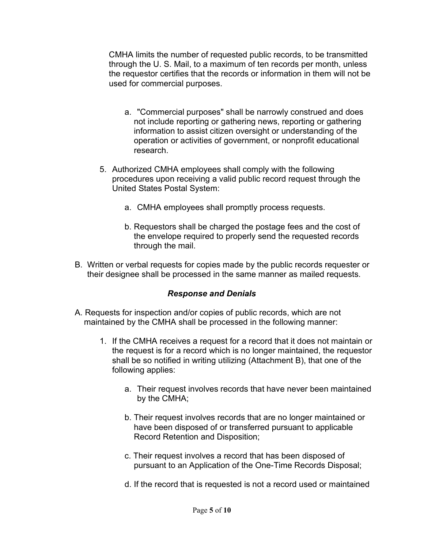CMHA limits the number of requested public records, to be transmitted through the U. S. Mail, to a maximum of ten records per month, unless the requestor certifies that the records or information in them will not be used for commercial purposes.

- a. "Commercial purposes" shall be narrowly construed and does not include reporting or gathering news, reporting or gathering information to assist citizen oversight or understanding of the operation or activities of government, or nonprofit educational research.
- 5. Authorized CMHA employees shall comply with the following procedures upon receiving a valid public record request through the United States Postal System:
	- a. CMHA employees shall promptly process requests.
	- b. Requestors shall be charged the postage fees and the cost of the envelope required to properly send the requested records through the mail.
- B. Written or verbal requests for copies made by the public records requester or their designee shall be processed in the same manner as mailed requests.

#### Response and Denials

- A. Requests for inspection and/or copies of public records, which are not maintained by the CMHA shall be processed in the following manner:
	- 1. If the CMHA receives a request for a record that it does not maintain or the request is for a record which is no longer maintained, the requestor shall be so notified in writing utilizing (Attachment B), that one of the following applies:
		- a. Their request involves records that have never been maintained by the CMHA;
		- b. Their request involves records that are no longer maintained or have been disposed of or transferred pursuant to applicable Record Retention and Disposition;
		- c. Their request involves a record that has been disposed of pursuant to an Application of the One-Time Records Disposal;
		- d. If the record that is requested is not a record used or maintained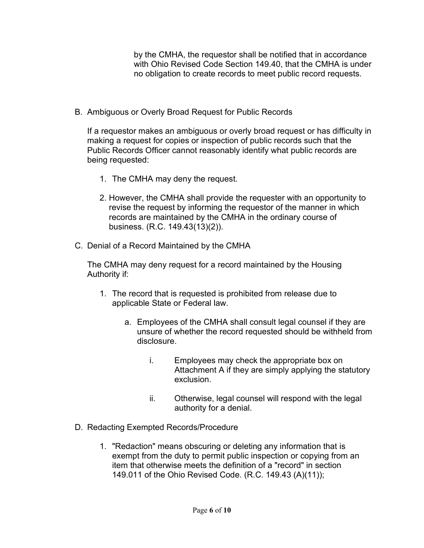by the CMHA, the requestor shall be notified that in accordance with Ohio Revised Code Section 149.40, that the CMHA is under no obligation to create records to meet public record requests.

B. Ambiguous or Overly Broad Request for Public Records

If a requestor makes an ambiguous or overly broad request or has difficulty in making a request for copies or inspection of public records such that the Public Records Officer cannot reasonably identify what public records are being requested:

- 1. The CMHA may deny the request.
- 2. However, the CMHA shall provide the requester with an opportunity to revise the request by informing the requestor of the manner in which records are maintained by the CMHA in the ordinary course of business. (R.C. 149.43(13)(2)).
- C. Denial of a Record Maintained by the CMHA

The CMHA may deny request for a record maintained by the Housing Authority if:

- 1. The record that is requested is prohibited from release due to applicable State or Federal law.
	- a. Employees of the CMHA shall consult legal counsel if they are unsure of whether the record requested should be withheld from disclosure.
		- i. Employees may check the appropriate box on Attachment A if they are simply applying the statutory exclusion.
		- ii. Otherwise, legal counsel will respond with the legal authority for a denial.
- D. Redacting Exempted Records/Procedure
	- 1. "Redaction" means obscuring or deleting any information that is exempt from the duty to permit public inspection or copying from an item that otherwise meets the definition of a "record" in section 149.011 of the Ohio Revised Code. (R.C. 149.43 (A)(11));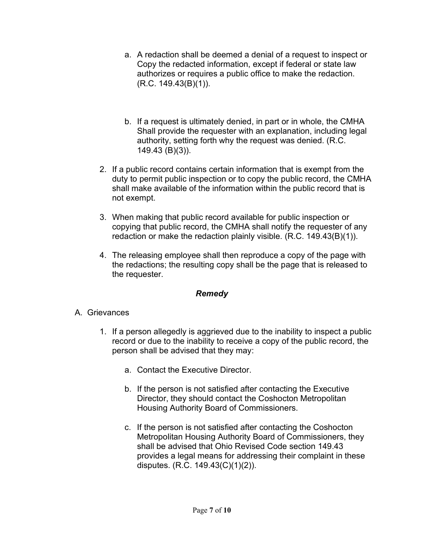- a. A redaction shall be deemed a denial of a request to inspect or Copy the redacted information, except if federal or state law authorizes or requires a public office to make the redaction. (R.C. 149.43(B)(1)).
- b. If a request is ultimately denied, in part or in whole, the CMHA Shall provide the requester with an explanation, including legal authority, setting forth why the request was denied. (R.C. 149.43 (B)(3)).
- 2. If a public record contains certain information that is exempt from the duty to permit public inspection or to copy the public record, the CMHA shall make available of the information within the public record that is not exempt.
- 3. When making that public record available for public inspection or copying that public record, the CMHA shall notify the requester of any redaction or make the redaction plainly visible. (R.C. 149.43(B)(1)).
- 4. The releasing employee shall then reproduce a copy of the page with the redactions; the resulting copy shall be the page that is released to the requester.

#### Remedy

#### A. Grievances

- 1. If a person allegedly is aggrieved due to the inability to inspect a public record or due to the inability to receive a copy of the public record, the person shall be advised that they may:
	- a. Contact the Executive Director.
	- b. If the person is not satisfied after contacting the Executive Director, they should contact the Coshocton Metropolitan Housing Authority Board of Commissioners.
	- c. If the person is not satisfied after contacting the Coshocton Metropolitan Housing Authority Board of Commissioners, they shall be advised that Ohio Revised Code section 149.43 provides a legal means for addressing their complaint in these disputes. (R.C. 149.43(C)(1)(2)).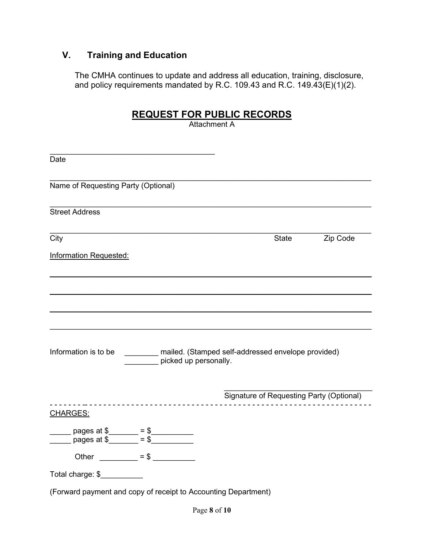### V. Training and Education

The CMHA continues to update and address all education, training, disclosure, and policy requirements mandated by R.C. 109.43 and R.C. 149.43 $(E)(1)(2)$ .

#### REQUEST FOR PUBLIC RECORDS

Attachment A

| Date                                                                                     |                                                                             |          |
|------------------------------------------------------------------------------------------|-----------------------------------------------------------------------------|----------|
| Name of Requesting Party (Optional)                                                      |                                                                             |          |
| <b>Street Address</b>                                                                    |                                                                             |          |
| City                                                                                     | State                                                                       | Zip Code |
| <b>Information Requested:</b>                                                            |                                                                             |          |
|                                                                                          |                                                                             |          |
|                                                                                          |                                                                             |          |
|                                                                                          |                                                                             |          |
| Information is to be                                                                     | mailed. (Stamped self-addressed envelope provided)<br>picked up personally. |          |
|                                                                                          | Signature of Requesting Party (Optional)                                    |          |
| <b>CHARGES:</b>                                                                          | .                                                                           |          |
| _____ pages at \$______ = \$________<br>____ pages at \$______ = \$_________             |                                                                             |          |
| Other $\frac{\qquad \qquad}{\qquad \qquad }= $ \ \ \frac{\qquad \qquad}{\qquad \qquad }$ |                                                                             |          |
| Total charge: \$                                                                         |                                                                             |          |
| (Forward payment and copy of receipt to Accounting Department)                           |                                                                             |          |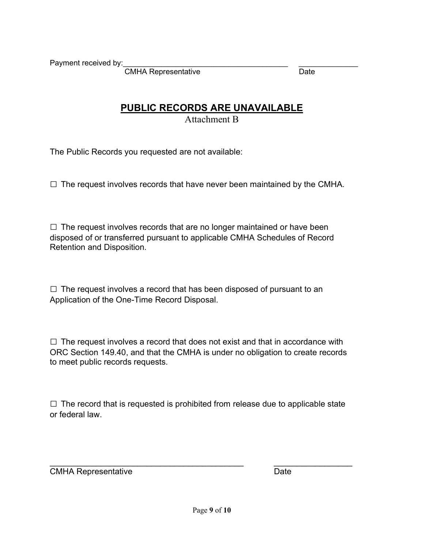Payment received by:

CMHA Representative **Date** Date

#### PUBLIC RECORDS ARE UNAVAILABLE

Attachment B

The Public Records you requested are not available:

 $\square$  The request involves records that have never been maintained by the CMHA.

 $\square$  The request involves records that are no longer maintained or have been disposed of or transferred pursuant to applicable CMHA Schedules of Record Retention and Disposition.

 $\Box$  The request involves a record that has been disposed of pursuant to an Application of the One-Time Record Disposal.

 $\square$  The request involves a record that does not exist and that in accordance with ORC Section 149.40, and that the CMHA is under no obligation to create records to meet public records requests.

 $\square$  The record that is requested is prohibited from release due to applicable state or federal law.

CMHA Representative Date

 $\overline{\phantom{a}}$  , and the contribution of the contribution of  $\overline{\phantom{a}}$  , and  $\overline{\phantom{a}}$  , and  $\overline{\phantom{a}}$  , and  $\overline{\phantom{a}}$  , and  $\overline{\phantom{a}}$  , and  $\overline{\phantom{a}}$  , and  $\overline{\phantom{a}}$  , and  $\overline{\phantom{a}}$  , and  $\overline{\phantom{a}}$  , and